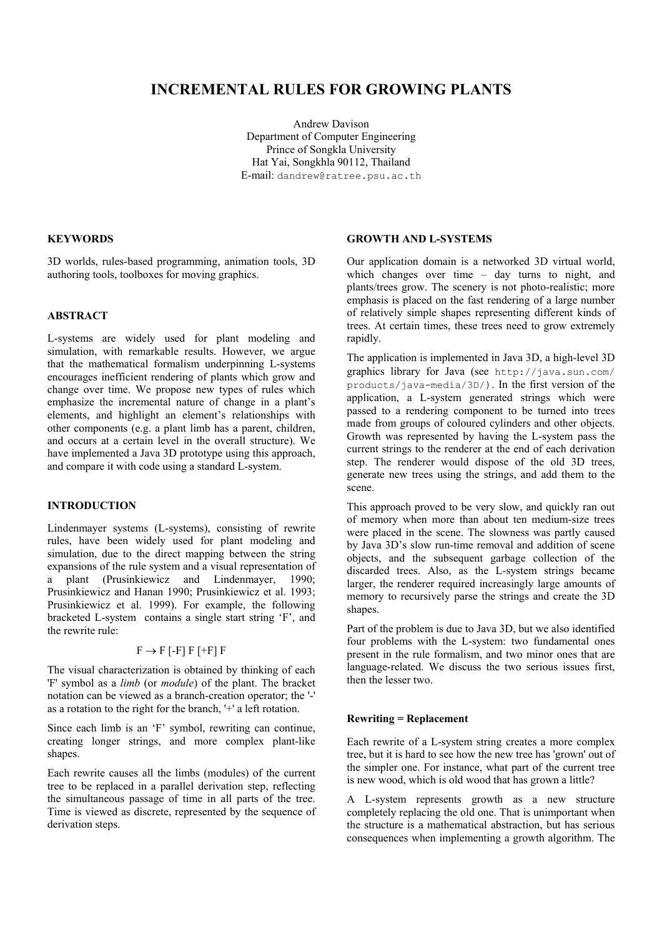# **INCREMENTAL RULES FOR GROWING PLANTS**

Andrew Davison Department of Computer Engineering Prince of Songkla University Hat Yai, Songkhla 90112, Thailand E-mail: dandrew@ratree.psu.ac.th

## **KEYWORDS**

3D worlds, rules-based programming, animation tools, 3D authoring tools, toolboxes for moving graphics.

### **ABSTRACT**

L-systems are widely used for plant modeling and simulation, with remarkable results. However, we argue that the mathematical formalism underpinning L-systems encourages inefficient rendering of plants which grow and change over time. We propose new types of rules which emphasize the incremental nature of change in a plant's elements, and highlight an element's relationships with other components (e.g. a plant limb has a parent, children, and occurs at a certain level in the overall structure). We have implemented a Java 3D prototype using this approach, and compare it with code using a standard L-system.

### **INTRODUCTION**

Lindenmayer systems (L-systems), consisting of rewrite rules, have been widely used for plant modeling and simulation, due to the direct mapping between the string expansions of the rule system and a visual representation of a plant (Prusinkiewicz and Lindenmayer, 1990; Prusinkiewicz and Hanan 1990; Prusinkiewicz et al. 1993; Prusinkiewicz et al. 1999). For example, the following bracketed L-system contains a single start string 'F', and the rewrite rule:

## $F \rightarrow F$  [-F]  $F$  [+F]  $F$

The visual characterization is obtained by thinking of each 'F' symbol as a *limb* (or *module*) of the plant. The bracket notation can be viewed as a branch-creation operator; the '-' as a rotation to the right for the branch, '+' a left rotation.

Since each limb is an 'F' symbol, rewriting can continue, creating longer strings, and more complex plant-like shapes.

Each rewrite causes all the limbs (modules) of the current tree to be replaced in a parallel derivation step, reflecting the simultaneous passage of time in all parts of the tree. Time is viewed as discrete, represented by the sequence of derivation steps.

## **GROWTH AND L-SYSTEMS**

Our application domain is a networked 3D virtual world, which changes over time – day turns to night, and plants/trees grow. The scenery is not photo-realistic; more emphasis is placed on the fast rendering of a large number of relatively simple shapes representing different kinds of trees. At certain times, these trees need to grow extremely rapidly.

The application is implemented in Java 3D, a high-level 3D graphics library for Java (see http://java.sun.com/ products/java-media/3D/). In the first version of the application, a L-system generated strings which were passed to a rendering component to be turned into trees made from groups of coloured cylinders and other objects. Growth was represented by having the L-system pass the current strings to the renderer at the end of each derivation step. The renderer would dispose of the old 3D trees, generate new trees using the strings, and add them to the scene.

This approach proved to be very slow, and quickly ran out of memory when more than about ten medium-size trees were placed in the scene. The slowness was partly caused by Java 3D's slow run-time removal and addition of scene objects, and the subsequent garbage collection of the discarded trees. Also, as the L-system strings became larger, the renderer required increasingly large amounts of memory to recursively parse the strings and create the 3D shapes.

Part of the problem is due to Java 3D, but we also identified four problems with the L-system: two fundamental ones present in the rule formalism, and two minor ones that are language-related. We discuss the two serious issues first, then the lesser two.

### **Rewriting = Replacement**

Each rewrite of a L-system string creates a more complex tree, but it is hard to see how the new tree has 'grown' out of the simpler one. For instance, what part of the current tree is new wood, which is old wood that has grown a little?

A L-system represents growth as a new structure completely replacing the old one. That is unimportant when the structure is a mathematical abstraction, but has serious consequences when implementing a growth algorithm. The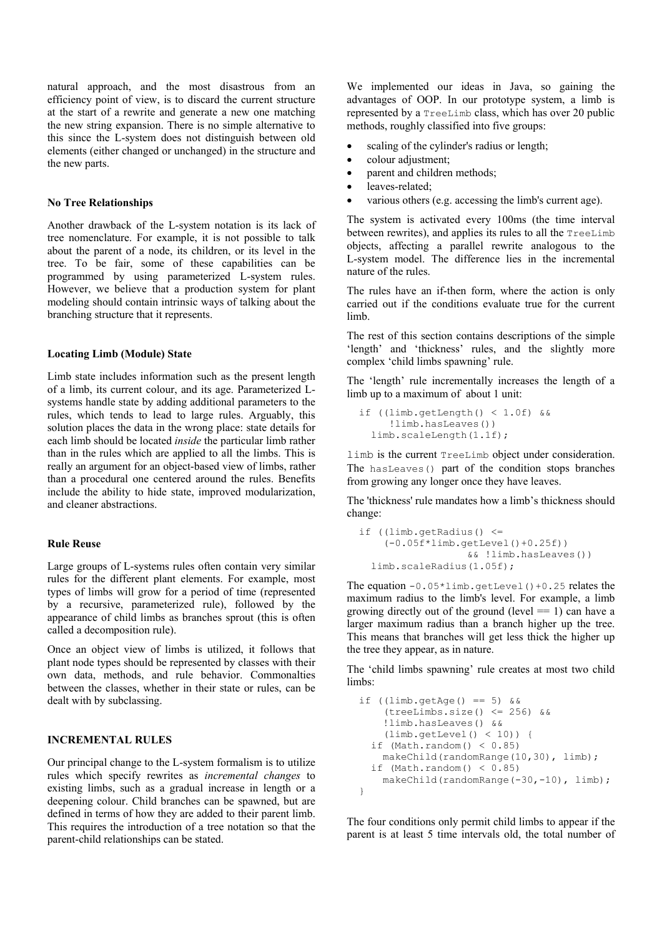natural approach, and the most disastrous from an efficiency point of view, is to discard the current structure at the start of a rewrite and generate a new one matching the new string expansion. There is no simple alternative to this since the L-system does not distinguish between old elements (either changed or unchanged) in the structure and the new parts.

#### **No Tree Relationships**

Another drawback of the L-system notation is its lack of tree nomenclature. For example, it is not possible to talk about the parent of a node, its children, or its level in the tree. To be fair, some of these capabilities can be programmed by using parameterized L-system rules. However, we believe that a production system for plant modeling should contain intrinsic ways of talking about the branching structure that it represents.

## **Locating Limb (Module) State**

Limb state includes information such as the present length of a limb, its current colour, and its age. Parameterized Lsystems handle state by adding additional parameters to the rules, which tends to lead to large rules. Arguably, this solution places the data in the wrong place: state details for each limb should be located *inside* the particular limb rather than in the rules which are applied to all the limbs. This is really an argument for an object-based view of limbs, rather than a procedural one centered around the rules. Benefits include the ability to hide state, improved modularization, and cleaner abstractions.

### **Rule Reuse**

Large groups of L-systems rules often contain very similar rules for the different plant elements. For example, most types of limbs will grow for a period of time (represented by a recursive, parameterized rule), followed by the appearance of child limbs as branches sprout (this is often called a decomposition rule).

Once an object view of limbs is utilized, it follows that plant node types should be represented by classes with their own data, methods, and rule behavior. Commonalties between the classes, whether in their state or rules, can be dealt with by subclassing.

### **INCREMENTAL RULES**

Our principal change to the L-system formalism is to utilize rules which specify rewrites as *incremental changes* to existing limbs, such as a gradual increase in length or a deepening colour. Child branches can be spawned, but are defined in terms of how they are added to their parent limb. This requires the introduction of a tree notation so that the parent-child relationships can be stated.

We implemented our ideas in Java, so gaining the advantages of OOP. In our prototype system, a limb is represented by a TreeLimb class, which has over 20 public methods, roughly classified into five groups:

- scaling of the cylinder's radius or length;
- colour adjustment;
- parent and children methods;
- leaves-related;
- various others (e.g. accessing the limb's current age).

The system is activated every 100ms (the time interval between rewrites), and applies its rules to all the TreeLimb objects, affecting a parallel rewrite analogous to the L-system model. The difference lies in the incremental nature of the rules.

The rules have an if-then form, where the action is only carried out if the conditions evaluate true for the current limb.

The rest of this section contains descriptions of the simple 'length' and 'thickness' rules, and the slightly more complex 'child limbs spawning' rule.

The 'length' rule incrementally increases the length of a limb up to a maximum of about 1 unit:

```
 if ((limb.getLength() < 1.0f) &&
     !limb.hasLeaves())
 limb.scaleLength(1.1f);
```
limb is the current TreeLimb object under consideration. The hasLeaves() part of the condition stops branches from growing any longer once they have leaves.

The 'thickness' rule mandates how a limb's thickness should change:

```
 if ((limb.getRadius() <=
    (-0.05f*limb.getLevel()+0.25f))
                  && !limb.hasLeaves())
 limb.scaleRadius(1.05f);
```
The equation  $-0.05 \times 1$  imb.getLevel() +0.25 relates the maximum radius to the limb's level. For example, a limb growing directly out of the ground (level  $=$  1) can have a larger maximum radius than a branch higher up the tree. This means that branches will get less thick the higher up the tree they appear, as in nature.

The 'child limbs spawning' rule creates at most two child limbs:

```
if (limb.getAge() == 5) & &
    (treeLimbs.size() <= 256) &&
    !limb.hasLeaves() &&
    (limb.getLevel() < 10)) {
if (Math.random() < 0.85)makeChild(randomRange(10,30), limb);
if (Math.random() < 0.85)makeChild(randomRange(-30,-10), limb);
}
```
The four conditions only permit child limbs to appear if the parent is at least 5 time intervals old, the total number of